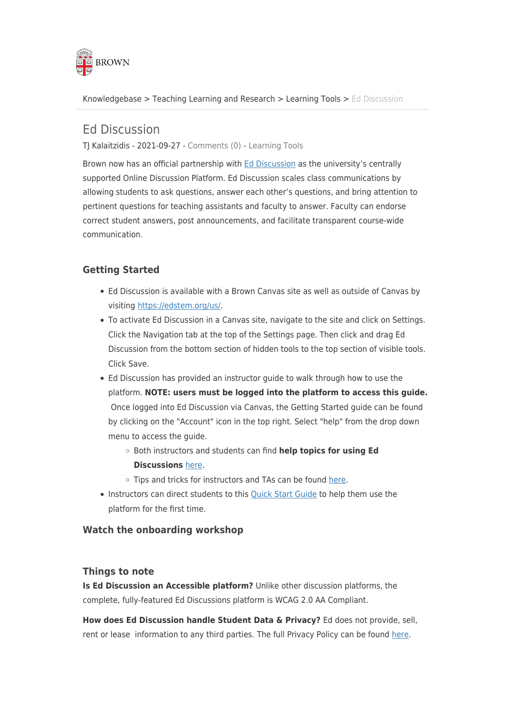

[Knowledgebase](https://ithelp.brown.edu/kb) > [Teaching Learning and Research](https://ithelp.brown.edu/kb/teaching-learning-and-research) > [Learning Tools](https://ithelp.brown.edu/kb/learning-tools) > [Ed Discussion](https://ithelp.brown.edu/kb/articles/ed-discussion)

# Ed Discussion

TJ Kalaitzidis - 2021-09-27 - [Comments \(0\)](#page--1-0) - [Learning Tools](https://ithelp.brown.edu/kb/learning-tools)

Brown now has an official partnership with [Ed Discussion](https://edstem.org/us/) as the university's centrally supported Online Discussion Platform. Ed Discussion scales class communications by allowing students to ask questions, answer each other's questions, and bring attention to pertinent questions for teaching assistants and faculty to answer. Faculty can endorse correct student answers, post announcements, and facilitate transparent course-wide communication.

## **Getting Started**

- Ed Discussion is available with a Brown Canvas site as well as outside of Canvas by visiting [https://edstem.org/us/.](https://edstem.org/us/)
- To activate Ed Discussion in a Canvas site, navigate to the site and click on Settings. Click the Navigation tab at the top of the Settings page. Then click and drag Ed Discussion from the bottom section of hidden tools to the top section of visible tools. Click Save.
- Ed Discussion has provided an instructor guide to walk through how to use the platform. **NOTE: users must be logged into the platform to access this guide.** Once logged into Ed Discussion via Canvas, the Getting Started guide can be found by clicking on the "Account" icon in the top right. Select "help" from the drop down menu to access the guide.
	- Both instructors and students can find **help topics for using Ed Discussions** [here](https://edstem.org/help).
	- Tips and tricks for instructors and TAs can be found [here](https://edstem.org/help/tips-and-tricks).
- Instructors can direct students to this [Quick Start Guide](https://edstem.org/quickstart/ed-discussion.pdf) to help them use the platform for the first time.

### **Watch the onboarding workshop**

#### **Things to note**

**Is Ed Discussion an Accessible platform?** Unlike other discussion platforms, the complete, fully-featured Ed Discussions platform is WCAG 2.0 AA Compliant.

**How does Ed Discussion handle Student Data & Privacy?** Ed does not provide, sell, rent or lease information to any third parties. The full Privacy Policy can be found [here](https://edstem.org/privacy).